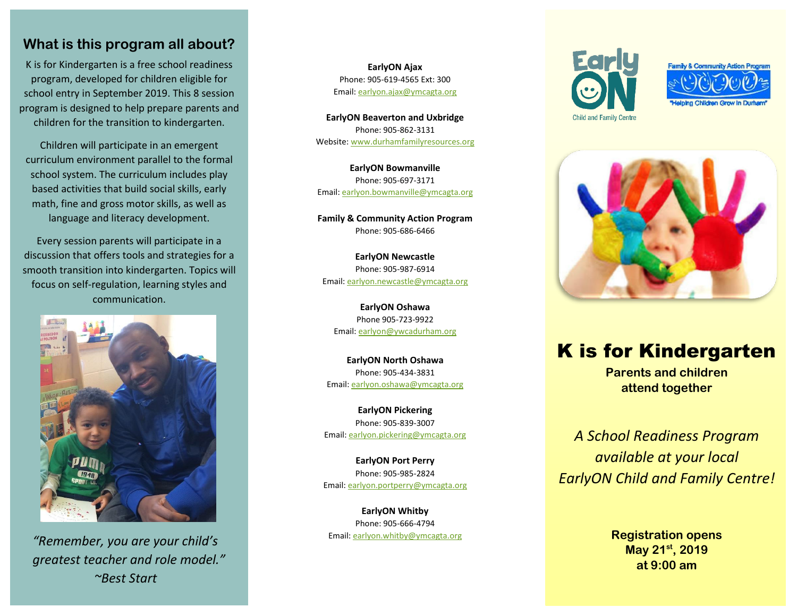### **What is this program all about?**

K is for Kindergarten is a free school readiness program, developed for children eligible for school entry in September 2019. This 8 session program is designed to help prepare parents and children for the transition to kindergarten.

Children will participate in an emergent curriculum environment parallel to the formal school system. The curriculum includes play based activities that build social skills, early math, fine and gross motor skills, as well as language and literacy development.

Every session parents will participate in a discussion that offers tools and strategies for a smooth transition into kindergarten. Topics will focus on self-regulation, learning styles and communication.



*"Remember, you are your child's greatest teacher and role model." ~Best Start*

**EarlyON Ajax** Phone: 905-619-4565 Ext: 300 Email: [earlyon.ajax@ymcagta.org](mailto:earlyon.ajax@ymcagta.org)

**EarlyON Beaverton and Uxbridge** Phone: 905-862-3131 Website[: www.durhamfamilyresources.org](http://www.durhamfamilyresources.org/)

**EarlyON Bowmanville** Phone: 905-697-3171 Email: [earlyon.bowmanville@ymcagta.org](mailto:earlyon.bowmanville@ymcagta.org)

**Family & Community Action Program** Phone: 905-686-6466

**EarlyON Newcastle** Phone: 905-987-6914 Email: [earlyon.newcastle@ymcagta.org](mailto:earlyon.newcastle@ymcagta.org)

**EarlyON Oshawa** Phone 905-723-9922 Email: [earlyon@ywcadurham.org](mailto:earlyon@ywcadurham.org)

**EarlyON North Oshawa** Phone: 905-434-3831 Email[: earlyon.oshawa@ymcagta.org](mailto:earlyon.oshawa@ymcagta.org)

**EarlyON Pickering** Phone: 905-839-3007 Email[: earlyon.pickering@ymcagta.org](mailto:earlyon.pickering@ymcagta.org)

**EarlyON Port Perry** Phone: 905-985-2824 Email: [earlyon.portperry@ymcagta.org](mailto:earlyon.portperry@ymcagta.org)

**EarlyON Whitby** Phone: 905-666-4794 Email: [earlyon.whitby@ymcagta.org](mailto:earlyon.whitby@ymcagta.org)







# K is for Kindergarten

**Parents and children attend together**

*A School Readiness Program available at your local EarlyON Child and Family Centre!*

> **Registration opens May 21st, 2019 at 9:00 am**